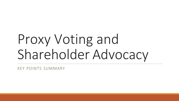# Proxy Voting and Shareholder Advocacy

KEY POINTS SUMMARY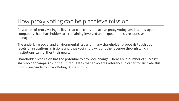### How proxy voting can help achieve mission?

Advocates of proxy voting believe that conscious and active proxy voting sends a message to companies that shareholders are remaining involved and expect honest, responsive management.

The underlying social and environmental issues of many shareholder proposals touch upon facets of institutions' missions and thus voting proxy is another avenue through which institutions can further their goals.

Shareholder resolution has the potential to promote change. There are a number of successful shareholder campaigns in the United States that advocates reference in order to illustrate this point (See Guide to Proxy Voting, Appendix C).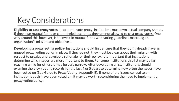### Key Considerations

**Eligibility to cast proxy votes**- In order to vote proxy, institutions must own actual company shares. If they own mutual funds or commingled accounts, they are not allowed to cast proxy votes. One way around this however, is to invest in mutual funds with voting guidelines matching an organization's mission and objectives.

**Developing a proxy voting policy**- Institutions should first ensure that they don't already have an unused proxy voting policy in place. If they do not, they must be clear about their mission with respect to proxies and develop a rationale for their policy. It is important that institutions determine which issues are most important to them. For some institutions this list may be far reaching while for others it may be very narrow. After developing a list, institutions should examine the proxy voting records for the last 4 or 5 years to determine how often the issues have been voted on (See Guide to Proxy Voting, Appendix E). If none of the issues central to an institution's goals have been voted on, it may be worth reconsidering the need to implement a proxy voting policy.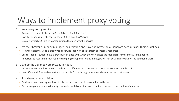## Ways to implement proxy voting

- 1. Hire a proxy voting service
	- Annual fee is typically between \$10,000 and \$25,000 per year
	- Investor Responsibility Research Center (IRRC) and RiskMetrics
	- Group (formerly ISS) are two organizations that perform this service
- 2. Give their broker or money manager their mission and have them vote on all separate accounts per their guidelines
	- A low cost alternative to a proxy-voting service that won't put a strain on internal resources
	- Critical that institutions have a procedure in place with which they can assess the managers' compliance with the policies
	- Important to realize this may require changing managers as many managers will not be willing to take on the additional work
- 3. Develop the ability to vote proxies in-house
	- Institutions will need to appoint a dedicated staff member to review and cast proxy votes on their behalf
	- ADP offers both free and subscription based platforms through which foundations can cast their votes
- 4. Join a shareowner coalition
	- Coalitions meet on a regular basis to discuss best practices in shareholder activism
	- Provides a good avenue to identify companies with issues that are of mutual concern to the coalitions' members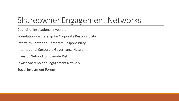## Shareowner Engagement Networks

Council of Institutional Investors

Foundation Partnership for Corporate Responsibility

Interfaith Center on Corporate Responsibility

International Corporate Governance Network

Investor Network on Climate Risk

Jewish Shareholder Engagement Network

Social Investment Forum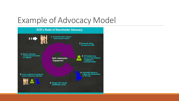### Example of Advocacy Model

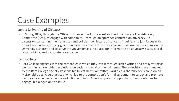### Case Examples

Loyala University of Chicago

◦ In Spring 2007, through the Office of Finance, the Trustees established the Shareholder Advocacy Committee (SAC), to engage with companies – through an approach centered on advocacy - in discussion concerning their practices and policies (i.e., letters of concern, inquiries); to join forces with other like-minded advocacy groups in initiatives to effect positive change; to advise on the voting on the University's shares; and to serve the University as a resource for information on advocacy issues, social responsibility, and corporate governance.

#### Bard College

◦ Bard College engages with the companies in which they invest through letter writing and proxy voting as well as filing shareholder resolutions on social and environmental issues. These decisions are managed by the Bard College Socially Responsible Investment Committee.Bard filed a shareholder resolution on McDonald's pesticide practices, which led to the corporation's formal agreement to survey and promote best practices in pesticide use reduction within its American potato supply chain. Bard continues to engage in dialogue on this issue.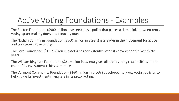## Active Voting Foundations- Examples

The Boston Foundation (\$900 million in assets), has a policy that places a direct link between proxy voting, grant making duty, and fiduciary duty

The Nathan Cummings Foundation (\$560 million in assets) is a leader in the movement for active and conscious proxy voting

The Ford Foundation (\$13.7 billion in assets) has consistently voted its proxies for the last thirty years

The William Bingham Foundation (\$21 million in assets) gives all proxy voting responsibility to the chair of its Investment Ethics Committee

The Vermont Community Foundation (\$160 million in assets) developed its proxy voting policies to help guide its investment managers in its proxy voting.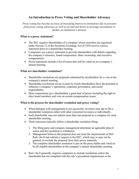#### **An Introduction to Proxy Voting and Shareholder Advocacy**

*Proxy voting has become an issue of increasing interest to institutions due to pressure from proxy voting advocates as well as an internal desire to leverage investments to further an institution's mission.*

#### **What is a proxy statement?**

- The SEC requires shareholders of a company whose securities are registered under Section 12 of the Securities Exchange Act of 1934 receive a proxy statement prior to a shareholder meeting.
- Companies use a proxy statement to provide shareholders with details regarding the company's structure, board composition, share ownership, and executive compensation.
- Proxy statements include a list of issues that will be voted on at a company's annual meeting.

#### **What are shareholder resolutions?**

- Shareholder resolutions are proposals submitted by stockholders for a vote at the company's annual meeting.
- Shareholder resolutions are an avenue by which shareholders have the potential to influence a company's operations, corporate governance, and social responsibility.
- Most corporations give shareholders a great deal of power including the right to elect board members and vote on certain compensation issues.

#### **What is the process for shareholder resolution and proxy voting?**

- When dialogue with management is not successful, investors may opt to file a shareholder resolution either with other concerned investors or individually.
- Each shareholder may not submit more than one proposal to a company for each shareholder meeting.
- Three outcomes typically follow a shareholder resolution filing:
	- 1. The filing party and company management determine an agreeable plan of action and the resolution is withdrawn.
	- 2. Management believes the proposal does not meet the requirements of SEC Rule 14a-8 and submits a request to the SEC, which may or may not be granted, to exclude the proposal from their proxy materials.
	- 3. The complete shareholder resolution is put on the proxy ballot and voted on by all eligible shareholders at the company's annual shareholder meeting.
- Rule 14a-8 generally requires companies to include resolutions unless the shareholder has not complied with the rule's procedural requirements or the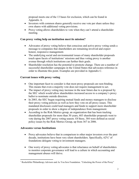proposal meets one of the 13 bases for exclusion, which can be found in Appendix A.

- Investors with common shares generally receive one vote per share unless they own shares with additional voting provisions.
- Proxy voting allows shareholders to vote when they can't attend a shareholder meeting.

#### **Can proxy voting help an institution meet its mission?**

- Advocates of proxy voting believe that conscious and active proxy voting sends a message to companies that shareholders are remaining involved and expect honest, responsive management.
- The underlying social and environmental issues of many shareholder proposals touch upon facets of institutions' missions and thus voting proxy is another avenue through which institutions can further their goals.
- Shareholder resolution has the potential to promote change. There are a number of successful shareholder campaigns in the United States that advocates reference in order to illustrate this point. Examples are provided in Appendix C.

#### **Current issues with proxy voting**

- One important facet to consider is that most proxy proposals are non-binding. This means that even a majority vote does not require management to act.
- The impact of proxy voting may increase in the near future due to a proposal by the SEC which would allow shareholders increased access to a company's proxy ballot to nominate outside directors.
- In 2003, the SEC began requiring mutual funds and money managers to disclose their proxy voting policies as well as how they vote on all proxy issues. This mandated disclosure could lead managers and funds to support more shareholder proposals in order to show a degree of independence from management.
- According to the Risk Metrics group, an organization that has been tracking shareholder proposals for more than 30 years, 683 shareholder proposals went to vote during the 2007 proxy voting season. Of these, 384 were defined as social policy issues by the Risk Metrics Group, up from 367 in 2006.

#### **Advocates versus Institutions**

- Proxy advocates believe that in comparison to other major investors over the past decade, institutions have been very silent shareholders. Specifically,  $62\%$  of foundations delegate voting to investment managers.
- One worry of proxy voting advocates is that reluctance on behalf of shareholders to monitor corporate governance will lead to a culture in which accounting and management abuses will thrive.

<sup>&</sup>lt;sup>1</sup> Rockefeller Philanthropy Advisors and As You Sow Foundation. "Unlocking the Power of the Proxy"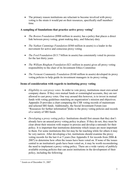• The primary reason institutions are reluctant to become involved with proxy voting is the strain it would put on their resources, specifically staff members' time.

#### **A sampling of foundations that practice active proxy voting2**

- *The Boston Foundation* (\$900 million in assets), has a policy that places a direct link between proxy voting, grant making duty, and fiduciary duty
- *The Nathan Cummings Foundation* (\$560 million in assets) is a leader in the movement for active and conscious proxy voting
- *The Ford Foundation* (\$13.7 billion in assets) has consistently voted its proxies for the last thirty years
- *The William Bingham Foundation* (\$21 million in assets) gives all proxy voting responsibility to the chair of its Investment Ethics Committee
- *The Vermont Community Foundation* (\$160 million in assets) developed its proxy voting policies to help guide its investment managers in its proxy voting.

#### **Items of consideration with regards to instituting proxy voting**

- *Eligibility to cast proxy votes* In order to vote proxy, institutions must own actual company shares. If they own mutual funds or commingled accounts, they are not allowed to cast proxy votes. One way around this however, is to invest in mutual funds with voting guidelines matching an organization's mission and objectives. Appendix D provides a chart comparing the CSR voting records of mainstream and selected SRI funds. Additionally, the Social Investment Forum (see "Resources for further information")links to the proxy voting policies and records of a variety of SRI funds.
- *Developing a proxy voting policy* Institutions should first ensure that they don't already have an unused proxy voting policy in place. If they do not, they must be clear about their mission with respect to proxies and develop a rationale for their policy. It is important that institutions determine which issues are most important to them. For some institutions this list may be far reaching while for others it may be very narrow. After developing a list, institutions should examine the proxy voting records for the last 4 or 5 years (See Appendix E for records from 2006  $\&$ 2007) to determine how often the issues have been voted on. If none of the issues central to an institution's goals have been voted on, it may be worth reconsidering the need to implement a proxy voting policy. There are a wide variety of publicly available existing policies that can assist institutions in the development of their policy, including the following:

<sup>2</sup> Assets as of December 31, 2007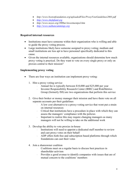- *http://www.bostonfoundation.org/uploadedFiles/ProxyVoteGuidelines2003.pdf*
- *[http://www.shefafund.org](http://www.shefafund.org/)*
- *http://www.noyes.org/2000ar/investmentpol.htm*
- *[http://www.nathancummings.org](http://www.nathancummings.org/)*

#### **Required internal resources**

- Institutions must have someone within their organization who is willing and able to guide the proxy voting process.
- Large institutions likely have someone assigned to proxy voting; medium and small institutions are less apt to have personnel specifically dedicated to this cause.
- Given the internal resources available, organizations should determine how much proxy voting is practical. Do they want to vote on every single proxy or only on proxies central to their mission?

#### **Implementing proxy voting**

- There are four ways an institution can implement proxy voting:
	- 1. Hire a proxy voting service
		- Annual fee is typically between \$10,000 and \$25,000 per year
		- Investor Responsibility Research Center (IRRC) and RiskMetrics Group (formerly ISS) are two organizations that perform this service
	- 2. Give their broker or money manager their mission and have them vote on all separate accounts per their guidelines
		- A low cost alternative to a proxy-voting service that wont put a strain on internal resources
		- Critical that institutions have a procedure in place with which they can assess the managers' compliance with the policies
		- Important to realize this may require changing managers as many managers will not be willing to take on the additional work
	- 3. Develop the ability to vote proxies in-house
		- Institutions will need to appoint a dedicated staff member to review and cast proxy votes on their behalf
		- ADP offers both free and subscription based platforms through which foundations can cast their votes
	- 4. Join a shareowner coalition
		- Coalitions meet on a regular basis to discuss best practices in shareholder activism
		- Provides a good avenue to identify companies with issues that are of mutual concern to the coalitions' members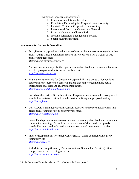- Shareowner engagement networks<sup>3</sup>:
	- 1. Council of Institutional Investors
	- 2. Foundation Partnership for Corporate Responsibility
	- 3. Interfaith Center on Corporate Responsibility
	- 4. International Corporate Governance Network
	- 5. Investor Network on Climate Risk
	- 6. Jewish Shareholder Engagement Network
	- 7. Social Investment Forum

#### **Resources for further information**

- ProxyDemocracy provides a wide array of tools to help investors engage in active proxy voting. Three Foundations created this website to offer a wealth of free proxy voting resources. *http://www.proxydemocracy.org*
- As You Sow is a non-profit that specializes in shareholder advocacy and features selected proxy-related information on its website. *[http://www.asyousow.org](http://www.asyousow.org/)*
- Foundation Partnership for Corporate Responsibility is a group of foundations that provides resources to other foundations that aim to become more active shareholders on social and environmental issues. *[http://www.foundationpartnership.org](http://www.foundationpartnership.org/)*
- Friends of the Earth's Green Investment Program offers a comprehensive guide to shareholder activism that includes the basics on filing and proposal writing. *[http://www.foe.org](http://www.foe.org/)*
- Glass Lewis is an independent investment research and proxy advisory firm that offers proxy voting solutions and proxy research. *[http://www.glasslewis.com](http://www.glasslewis.com/)*
- Social Funds provides resources on screened investing, shareholder advocacy, and community investing. The website has a database of shareholder proposals, shareholder news, and information on mission related investment activities. *[http://www.socialfunds.com](http://www.socialfunds.com/)*
- Investor Responsibility Research Center (IRRC) offers comprehensive proxy voting services *[http://www.irrc.org](http://www.irrc.org/)*
- RiskMetrics Group (formerly ISS Institutional Shareholder Services) offers comprehensive proxy voting services *[http://www.riskmetrics.com](http://www.riskmetrics.com/)*

<sup>&</sup>lt;sup>3</sup> Social Investment Forum Foundation. "The Mission in the Marketplace."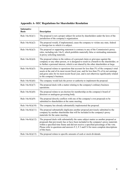| Substantive<br><b>Basis</b> | <b>Description</b>                                                                                                                                                                                                                                                                                                                                                               |
|-----------------------------|----------------------------------------------------------------------------------------------------------------------------------------------------------------------------------------------------------------------------------------------------------------------------------------------------------------------------------------------------------------------------------|
| Rule $14a-8(i)(1)$          | The proposal is not a proper subject for action by shareholders under the laws of the<br>jurisdiction of the company's organization.                                                                                                                                                                                                                                             |
| Rule $14a-8(i)(2)$          | The proposal would, if implemented, cause the company to violate any state, federal<br>or foreign law to which it is subject.                                                                                                                                                                                                                                                    |
| Rule $14a-8(i)(3)$          | The proposal or supporting statement is contrary to any of the Commission's proxy<br>rules, including rule 14a-9, which prohibits materially false or misleading statements<br>in proxy soliciting materials.                                                                                                                                                                    |
| Rule $14a-8(i)(4)$          | The proposal relates to the redress of a personal claim or grievance against the<br>company or any other person, or is designed to result in a benefit to the shareholder, or<br>to further a personal interest, which is not shared by the other shareholders at large.                                                                                                         |
| Rule $14a-8(i)(5)$          | The proposal relates to operations that account for less than 5% of the company's total<br>assets at the end of its most recent fiscal year, and for less than 5% of its net earnings<br>and gross sales for its most recent fiscal year, and is not otherwise significantly related<br>to the company's business.                                                               |
| Rule $14a-8(i)(6)$          | The company would lack the power or authority to implement the proposal.                                                                                                                                                                                                                                                                                                         |
| Rule $14a-8(i)(7)$          | The proposal deals with a matter relating to the company's ordinary business<br>operations.                                                                                                                                                                                                                                                                                      |
| Rule $14a-8(i)(8)$          | The proposal relates to an election for membership on the company's board of<br>directors or analogous governing body.                                                                                                                                                                                                                                                           |
| Rule $14a-8(i)(9)$          | The proposal directly conflicts with one of the company's own proposals to be<br>submitted to shareholders at the same meeting.                                                                                                                                                                                                                                                  |
| Rule $14a-8(i)(10)$         | The company has already substantially implemented the proposal.                                                                                                                                                                                                                                                                                                                  |
| Rule $14a-8(i)(11)$         | The proposal substantially duplicates another proposal previously submitted to the<br>company by another shareholder that will be included in the company's proxy<br>materials for the same meeting.                                                                                                                                                                             |
| Rule 14a-8(i)(12)           | The proposal deals with substantially the same subject matter as another proposal or<br>proposals that previously has or have been included in the company's proxy materials<br>within a specified time frame and did not receive a specified percentage of the vote.<br>Please refer to questions and answers F.2, F.3 and F.4 for more complete descriptions<br>of this basis. |
| Rule 14a-8(i)(13)           | The proposal relates to specific amounts of cash or stock dividends.                                                                                                                                                                                                                                                                                                             |

**Appendix A- SEC Regulations for Shareholder Resolution**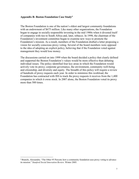#### **Appendix B- Boston Foundation Case Study4**

The Boston Foundation is one of the nation's oldest and largest community foundations with an endowment of \$675 million. Like many other organizations, the Foundation began to engage in socially responsible investing in the mid 1980s when it divested itself of companies with ties to South Africa and, later, tobacco. In 1998, the chairman of the Foundation's investment committee began to examine new ways to promote the Foundation's mission. As a result, members of the Foundation drafted a letter proposing a vision for socially conscious proxy voting. Several of the board members were opposed to the idea of adopting an explicit policy, believing that if the Foundation voted against management they would lose money.

The discussions carried on into 1999 when the board decided a policy that clearly defined and supported the Boston Foundation's values would be more effective than debating individual issues. The policy identified four key areas in which the Foundation would actively vote its proxy; corporate governance, the environment, community well-being and citizenship, and diversity and equity. The breadth of this policy will require a review of hundreds of proxy requests each year. In order to minimize this workload, the Foundation has contracted with ISS to track the proxy requests it receives from the 1,400 companies in which it owns stock. In 2007 alone, the Boston Foundation voted its proxy more than 500 times.

<sup>4</sup> Bianchi, Alessandra. "The Other 95 Percent; how a community foundation uses proxy voting to advance its mission." *Stanford Social Innovation Review*. Winter 2005.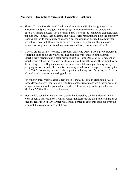#### **Appendix C- Examples of Successful Shareholder Resolution**

- Since 2001, the Florida-based Coalition of Immokalee Workers (a grantee of the Needmor Fund) had engaged in a campaign to improve the working conditions of Taco Bell tomato pickers. The Needmor Fund, who aims to "empower disadvantaged populations," joined other investors and filed several resolutions to hold the company responsible for its community relations. After the Coalition engaged in a four year boycott of Taco Bell, the company agreed to a historic settlement that increased farmworker wages and instilled a code of conduct for growers across Florida.
- Various groups of investors filed a proposal on Home Depot's 1999 proxy statement regarding sales of old-growth wood. The proposal was voted on at the annual shareholder's meeting and a clear message sent to Home Depot, with 12 percent of shareholders asking the company to stop selling old-growth wood. Three months after the meeting, Home Depot announced an environmental wood purchasing policy, pledging to stop the sale of products containing wood from endangered forests by the end of 2002. Following this, several companies including Lowe's IKEA, and Staples adopted similar timber purchasing policies.
- For roughly three years, shareholders asked General Electric to clean toxic PCBs form Massachusetts' Housatonic River. Shareholder resolutions were instrumental in bringing attention to this polluted area and GE ultimately agreed to spend between \$150 and \$250 million to clean the river.
- McDonald's sexual orientation non-discrimination policy can be attributed to the work of active shareholders. Trillium Asset Management and the Pride foundation cofiled the resolution in 1999. After McDonalds agreed to enter into dialogue over the proposal, the resolution was withdrawn.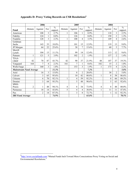|                                | 2006         |                |                | 2005                                |         |                |                | 2004                                |              |         |                |                                     |
|--------------------------------|--------------|----------------|----------------|-------------------------------------|---------|----------------|----------------|-------------------------------------|--------------|---------|----------------|-------------------------------------|
| Fund                           | Abstain      | Against        | For            | $\overline{\frac{0}{0}}$<br>support | Abstain | Against        | For            | $\overline{\frac{0}{0}}$<br>support | Abstain      | Against | For            | $\overline{\frac{0}{0}}$<br>support |
| American                       |              | 108            | 3              | 2.7%                                | 1       | 106            | 1              | 0.9%                                |              | 118     | 3              | 2.5%                                |
| Fidelity                       |              | 124            |                | 0.8%                                |         | 126            |                | $0.0\%$                             |              | 150     | 2              | 1.3%                                |
| Franklin                       |              | 128            | $\overline{3}$ | 2.3%                                |         | 108            | 4              | 3.5%                                |              | 149     | 4              | 2.6%                                |
| Goldman                        |              |                |                |                                     |         |                |                |                                     |              |         |                |                                     |
| Sachs                          |              | 143            | 33             | 18.8%                               |         | 101            | 15             | 12.9%                               |              | 119     | 13             | 9.8%                                |
| JP Morgan                      |              | 64             | 22             | 25.6%                               |         | 38             | $\tau$         | 15.6%                               |              | 60      | 5              | 7.7%                                |
| Merrill                        |              |                |                |                                     |         |                |                |                                     |              |         |                |                                     |
| Lynch                          |              | 104            | 13             | 11.1%                               |         | 99             | 14             | 12.4%                               |              | 113     | 12             | 9.6%                                |
| Putnam                         | $\mathbf{1}$ | 121            | 5              | 3.9%                                |         | 102            | $\overline{2}$ | 1.9%                                |              | 137     | $\overline{2}$ | 1.4%                                |
| TIAA-                          |              |                |                |                                     |         |                |                |                                     |              |         |                |                                     |
| <b>CREF</b>                    | 42           | 70             | 87             | 43.7%                               | 42      | 90             | 37             | 21.9%                               | 48           | 107     | 37             | 19.3%                               |
| Vanguard                       | 164          | 7              | 4              | 2.3%                                | 161     | 7              | 1              | 0.6%                                | 182          | 15      | 2              | 1.0%                                |
| Wells Fargo                    |              | 160            | 3              | 1.8%                                |         | 153            | 3              | 1.9%                                |              | 173     | 4              | 2.2%                                |
| <b>Mainstream Fund Average</b> |              |                |                | 11.3%                               |         |                |                | 7.2%                                |              |         |                | 5.8%                                |
| Ariel                          |              | 16             | 3              | 15.8%                               |         | 8              | $\overline{2}$ | 20.0%                               |              | 38      | 2              | 5.0%                                |
| Calvert                        |              | 3              | 65             | 95.6%                               |         | 10             | 42             | 80.8%                               | $\mathbf{1}$ | 8       | 58             | 86.6%                               |
| Citizens                       |              | 6              | 70             | 92.1%                               | 1       | $\overline{4}$ | 59             | 92.2%                               |              | 8       | 66             | 89.2%                               |
| Domini                         |              | 3              | 64             | 95.5%                               |         | 5              | 48             | 90.6%                               |              | 5       | 63             | 92.6%                               |
| <b>MMA</b>                     |              |                |                |                                     |         |                |                |                                     |              |         |                |                                     |
| Praxis                         | 2            | 1              | 48             | 94.1%                               | 4       | 8              | 34             | 73.9%                               | 4            | 8       | 48             | 80.0%                               |
| Parnassus                      |              | 18             | 14             | 43.8%                               | 5       | 4              | 4              | 30.8%                               | $\mathbf{1}$ | 11      | 11             | 47.8%                               |
| Pax                            |              | $\overline{2}$ | 14             | 87.5%                               |         | $\overline{3}$ | 8              | 72.7%                               |              |         | 12             | 92.3%                               |
| <b>SRI Fund Average</b>        |              |                |                | 74.9%                               |         |                |                | 65.8%                               |              |         |                | 70.5%                               |

#### **Appendix D- Proxy Voting Records on CSR Resolutions5**

<sup>5&</sup>lt;br>[http://www.socialfunds.com](http://www.socialfunds.com/) "Mutual Funds Inch Toward More Conscientious Proxy Voting on Social and Environmental Resolutions."